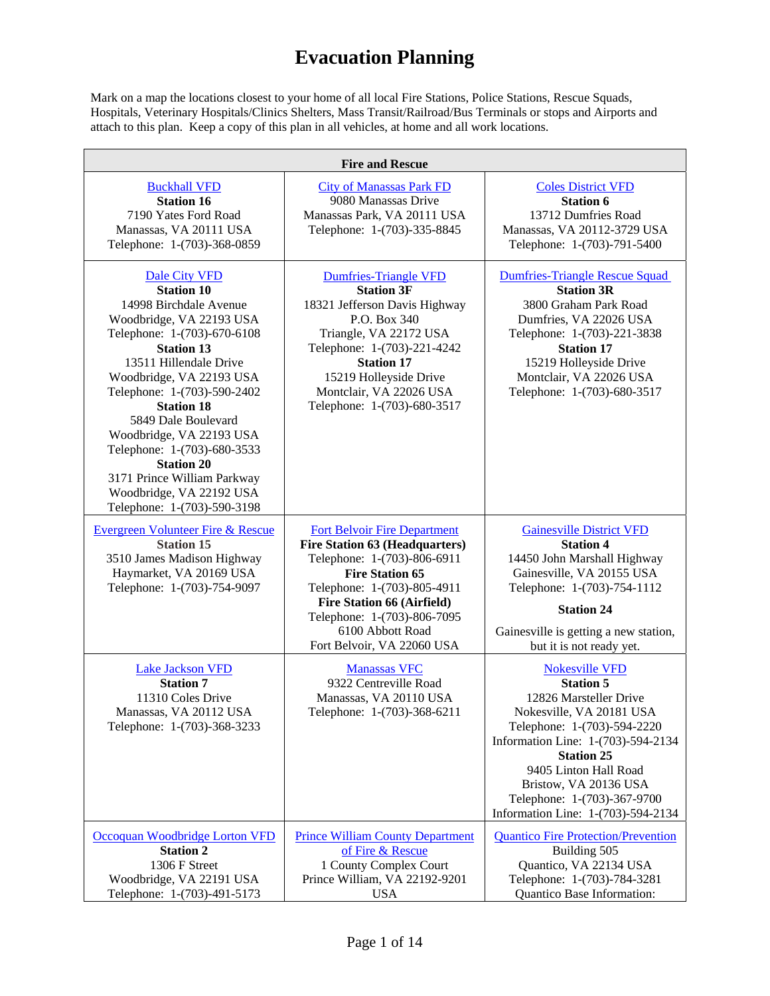Mark on a map the locations closest to your home of all local Fire Stations, Police Stations, Rescue Squads, Hospitals, Veterinary Hospitals/Clinics Shelters, Mass Transit/Railroad/Bus Terminals or stops and Airports and attach to this plan. Keep a copy of this plan in all vehicles, at home and all work locations.

| <b>Fire and Rescue</b>                                                                                                                                                                                                                                                                                                                                                                                                                                  |                                                                                                                                                                                                                                                                                            |                                                                                                                                                                                                                                                                                                                  |
|---------------------------------------------------------------------------------------------------------------------------------------------------------------------------------------------------------------------------------------------------------------------------------------------------------------------------------------------------------------------------------------------------------------------------------------------------------|--------------------------------------------------------------------------------------------------------------------------------------------------------------------------------------------------------------------------------------------------------------------------------------------|------------------------------------------------------------------------------------------------------------------------------------------------------------------------------------------------------------------------------------------------------------------------------------------------------------------|
| <b>Buckhall VFD</b><br><b>Station 16</b><br>7190 Yates Ford Road<br>Manassas, VA 20111 USA<br>Telephone: 1-(703)-368-0859                                                                                                                                                                                                                                                                                                                               | <b>City of Manassas Park FD</b><br>9080 Manassas Drive<br>Manassas Park, VA 20111 USA<br>Telephone: 1-(703)-335-8845                                                                                                                                                                       | <b>Coles District VFD</b><br><b>Station 6</b><br>13712 Dumfries Road<br>Manassas, VA 20112-3729 USA<br>Telephone: 1-(703)-791-5400                                                                                                                                                                               |
| Dale City VFD<br><b>Station 10</b><br>14998 Birchdale Avenue<br>Woodbridge, VA 22193 USA<br>Telephone: 1-(703)-670-6108<br><b>Station 13</b><br>13511 Hillendale Drive<br>Woodbridge, VA 22193 USA<br>Telephone: 1-(703)-590-2402<br><b>Station 18</b><br>5849 Dale Boulevard<br>Woodbridge, VA 22193 USA<br>Telephone: 1-(703)-680-3533<br><b>Station 20</b><br>3171 Prince William Parkway<br>Woodbridge, VA 22192 USA<br>Telephone: 1-(703)-590-3198 | <b>Dumfries-Triangle VFD</b><br><b>Station 3F</b><br>18321 Jefferson Davis Highway<br>P.O. Box 340<br>Triangle, VA 22172 USA<br>Telephone: 1-(703)-221-4242<br><b>Station 17</b><br>15219 Holleyside Drive<br>Montclair, VA 22026 USA<br>Telephone: 1-(703)-680-3517                       | <b>Dumfries-Triangle Rescue Squad</b><br><b>Station 3R</b><br>3800 Graham Park Road<br>Dumfries, VA 22026 USA<br>Telephone: 1-(703)-221-3838<br><b>Station 17</b><br>15219 Holleyside Drive<br>Montclair, VA 22026 USA<br>Telephone: 1-(703)-680-3517                                                            |
| <b>Evergreen Volunteer Fire &amp; Rescue</b><br><b>Station 15</b><br>3510 James Madison Highway<br>Haymarket, VA 20169 USA<br>Telephone: 1-(703)-754-9097                                                                                                                                                                                                                                                                                               | <b>Fort Belvoir Fire Department</b><br><b>Fire Station 63 (Headquarters)</b><br>Telephone: 1-(703)-806-6911<br><b>Fire Station 65</b><br>Telephone: 1-(703)-805-4911<br><b>Fire Station 66 (Airfield)</b><br>Telephone: 1-(703)-806-7095<br>6100 Abbott Road<br>Fort Belvoir, VA 22060 USA | <b>Gainesville District VFD</b><br><b>Station 4</b><br>14450 John Marshall Highway<br>Gainesville, VA 20155 USA<br>Telephone: 1-(703)-754-1112<br><b>Station 24</b><br>Gainesville is getting a new station,<br>but it is not ready yet.                                                                         |
| <b>Lake Jackson VFD</b><br><b>Station 7</b><br>11310 Coles Drive<br>Manassas, VA 20112 USA<br>Telephone: 1-(703)-368-3233                                                                                                                                                                                                                                                                                                                               | <b>Manassas VFC</b><br>9322 Centreville Road<br>Manassas, VA 20110 USA<br>Telephone: 1-(703)-368-6211                                                                                                                                                                                      | <b>Nokesville VFD</b><br><b>Station 5</b><br>12826 Marsteller Drive<br>Nokesville, VA 20181 USA<br>Telephone: 1-(703)-594-2220<br>Information Line: 1-(703)-594-2134<br><b>Station 25</b><br>9405 Linton Hall Road<br>Bristow, VA 20136 USA<br>Telephone: 1-(703)-367-9700<br>Information Line: 1-(703)-594-2134 |
| Occoquan Woodbridge Lorton VFD<br><b>Station 2</b><br>1306 F Street<br>Woodbridge, VA 22191 USA<br>Telephone: 1-(703)-491-5173                                                                                                                                                                                                                                                                                                                          | <b>Prince William County Department</b><br>of Fire & Rescue<br>1 County Complex Court<br>Prince William, VA 22192-9201<br><b>USA</b>                                                                                                                                                       | <b>Quantico Fire Protection/Prevention</b><br>Building 505<br>Quantico, VA 22134 USA<br>Telephone: 1-(703)-784-3281<br>Quantico Base Information:                                                                                                                                                                |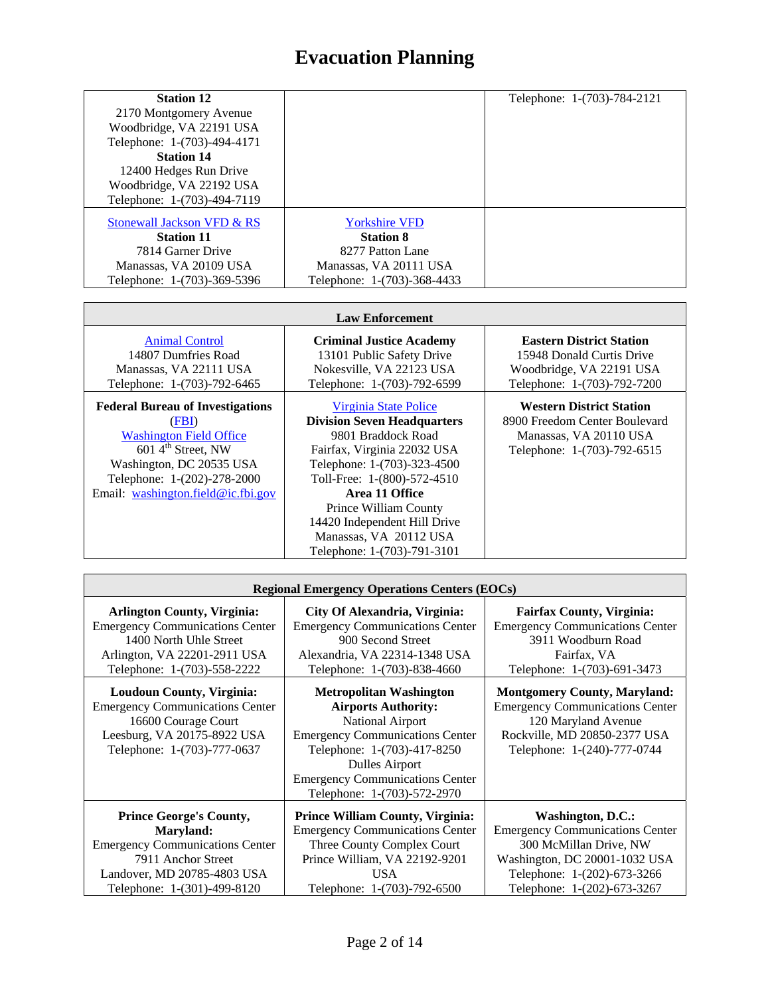| <b>Station 12</b>           |                             | Telephone: 1-(703)-784-2121 |
|-----------------------------|-----------------------------|-----------------------------|
| 2170 Montgomery Avenue      |                             |                             |
| Woodbridge, VA 22191 USA    |                             |                             |
| Telephone: 1-(703)-494-4171 |                             |                             |
| <b>Station 14</b>           |                             |                             |
| 12400 Hedges Run Drive      |                             |                             |
| Woodbridge, VA 22192 USA    |                             |                             |
| Telephone: 1-(703)-494-7119 |                             |                             |
| Stonewall Jackson VFD & RS  | <b>Yorkshire VFD</b>        |                             |
|                             |                             |                             |
| <b>Station 11</b>           | <b>Station 8</b>            |                             |
| 7814 Garner Drive           | 8277 Patton Lane            |                             |
| Manassas, VA 20109 USA      | Manassas, VA 20111 USA      |                             |
| Telephone: 1-(703)-369-5396 | Telephone: 1-(703)-368-4433 |                             |

| <b>Law Enforcement</b>                                                                                                                                                                                               |                                                                                                                                                                                                                                                                                                                    |                                                                                                                           |
|----------------------------------------------------------------------------------------------------------------------------------------------------------------------------------------------------------------------|--------------------------------------------------------------------------------------------------------------------------------------------------------------------------------------------------------------------------------------------------------------------------------------------------------------------|---------------------------------------------------------------------------------------------------------------------------|
| <b>Animal Control</b><br>14807 Dumfries Road<br>Manassas, VA 22111 USA<br>Telephone: 1-(703)-792-6465                                                                                                                | <b>Criminal Justice Academy</b><br>13101 Public Safety Drive<br>Nokesville, VA 22123 USA<br>Telephone: 1-(703)-792-6599                                                                                                                                                                                            | <b>Eastern District Station</b><br>15948 Donald Curtis Drive<br>Woodbridge, VA 22191 USA<br>Telephone: 1-(703)-792-7200   |
| <b>Federal Bureau of Investigations</b><br>(FBI)<br><b>Washington Field Office</b><br>$6014^{\text{th}}$ Street, NW<br>Washington, DC 20535 USA<br>Telephone: 1-(202)-278-2000<br>Email: washington.field@ic.fbi.gov | Virginia State Police<br><b>Division Seven Headquarters</b><br>9801 Braddock Road<br>Fairfax, Virginia 22032 USA<br>Telephone: 1-(703)-323-4500<br>Toll-Free: 1-(800)-572-4510<br>Area 11 Office<br>Prince William County<br>14420 Independent Hill Drive<br>Manassas, VA 20112 USA<br>Telephone: 1-(703)-791-3101 | <b>Western District Station</b><br>8900 Freedom Center Boulevard<br>Manassas, VA 20110 USA<br>Telephone: 1-(703)-792-6515 |

Г

| <b>Regional Emergency Operations Centers (EOCs)</b>                                                                                                             |                                                                                                                                                                                                                                                      |                                                                                                                                                                     |
|-----------------------------------------------------------------------------------------------------------------------------------------------------------------|------------------------------------------------------------------------------------------------------------------------------------------------------------------------------------------------------------------------------------------------------|---------------------------------------------------------------------------------------------------------------------------------------------------------------------|
| <b>Arlington County, Virginia:</b>                                                                                                                              | City Of Alexandria, Virginia:                                                                                                                                                                                                                        | <b>Fairfax County, Virginia:</b>                                                                                                                                    |
| <b>Emergency Communications Center</b>                                                                                                                          | <b>Emergency Communications Center</b>                                                                                                                                                                                                               | <b>Emergency Communications Center</b>                                                                                                                              |
| 1400 North Uhle Street                                                                                                                                          | 900 Second Street                                                                                                                                                                                                                                    | 3911 Woodburn Road                                                                                                                                                  |
| Arlington, VA 22201-2911 USA                                                                                                                                    | Alexandria, VA 22314-1348 USA                                                                                                                                                                                                                        | Fairfax, VA                                                                                                                                                         |
| Telephone: 1-(703)-558-2222                                                                                                                                     | Telephone: 1-(703)-838-4660                                                                                                                                                                                                                          | Telephone: 1-(703)-691-3473                                                                                                                                         |
| <b>Loudoun County, Virginia:</b><br><b>Emergency Communications Center</b><br>16600 Courage Court<br>Leesburg, VA 20175-8922 USA<br>Telephone: 1-(703)-777-0637 | <b>Metropolitan Washington</b><br><b>Airports Authority:</b><br>National Airport<br><b>Emergency Communications Center</b><br>Telephone: 1-(703)-417-8250<br>Dulles Airport<br><b>Emergency Communications Center</b><br>Telephone: 1-(703)-572-2970 | <b>Montgomery County, Maryland:</b><br><b>Emergency Communications Center</b><br>120 Maryland Avenue<br>Rockville, MD 20850-2377 USA<br>Telephone: 1-(240)-777-0744 |
| <b>Prince George's County,</b>                                                                                                                                  | <b>Prince William County, Virginia:</b>                                                                                                                                                                                                              | Washington, D.C.:                                                                                                                                                   |
| Maryland:                                                                                                                                                       | <b>Emergency Communications Center</b>                                                                                                                                                                                                               | <b>Emergency Communications Center</b>                                                                                                                              |
| <b>Emergency Communications Center</b>                                                                                                                          | Three County Complex Court                                                                                                                                                                                                                           | 300 McMillan Drive, NW                                                                                                                                              |
| 7911 Anchor Street                                                                                                                                              | Prince William, VA 22192-9201                                                                                                                                                                                                                        | Washington, DC 20001-1032 USA                                                                                                                                       |
| Landover, MD 20785-4803 USA                                                                                                                                     | USA.                                                                                                                                                                                                                                                 | Telephone: 1-(202)-673-3266                                                                                                                                         |
| Telephone: 1-(301)-499-8120                                                                                                                                     | Telephone: 1-(703)-792-6500                                                                                                                                                                                                                          | Telephone: 1-(202)-673-3267                                                                                                                                         |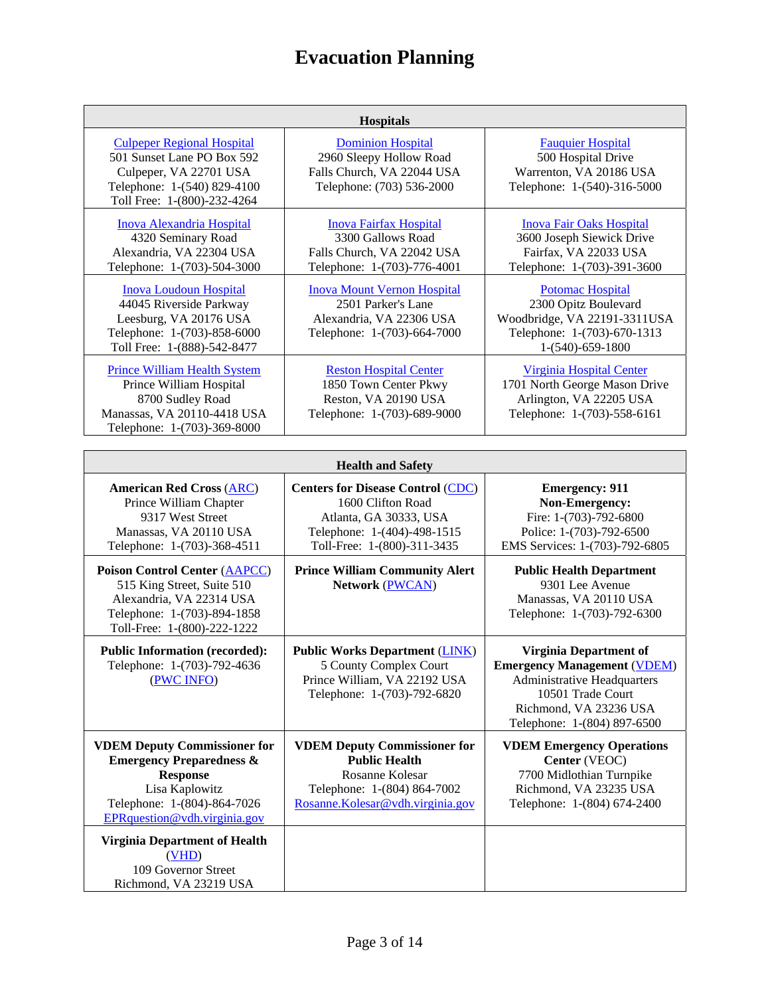| <b>Hospitals</b>                                                                                                                                        |                                                                                                                     |                                                                                                                                      |
|---------------------------------------------------------------------------------------------------------------------------------------------------------|---------------------------------------------------------------------------------------------------------------------|--------------------------------------------------------------------------------------------------------------------------------------|
| <b>Culpeper Regional Hospital</b><br>501 Sunset Lane PO Box 592<br>Culpeper, VA 22701 USA<br>Telephone: 1-(540) 829-4100<br>Toll Free: 1-(800)-232-4264 | <b>Dominion Hospital</b><br>2960 Sleepy Hollow Road<br>Falls Church, VA 22044 USA<br>Telephone: (703) 536-2000      | <b>Fauguier Hospital</b><br>500 Hospital Drive<br>Warrenton, VA 20186 USA<br>Telephone: 1-(540)-316-5000                             |
| <b>Inova Alexandria Hospital</b><br>4320 Seminary Road<br>Alexandria, VA 22304 USA<br>Telephone: 1-(703)-504-3000                                       | <b>Inova Fairfax Hospital</b><br>3300 Gallows Road<br>Falls Church, VA 22042 USA<br>Telephone: 1-(703)-776-4001     | <b>Inova Fair Oaks Hospital</b><br>3600 Joseph Siewick Drive<br>Fairfax, VA 22033 USA<br>Telephone: 1-(703)-391-3600                 |
| <b>Inova Loudoun Hospital</b><br>44045 Riverside Parkway<br>Leesburg, VA 20176 USA<br>Telephone: 1-(703)-858-6000<br>Toll Free: 1-(888)-542-8477        | <b>Inova Mount Vernon Hospital</b><br>2501 Parker's Lane<br>Alexandria, VA 22306 USA<br>Telephone: 1-(703)-664-7000 | <b>Potomac Hospital</b><br>2300 Opitz Boulevard<br>Woodbridge, VA 22191-3311USA<br>Telephone: 1-(703)-670-1313<br>$1-(540)-659-1800$ |
| <b>Prince William Health System</b><br>Prince William Hospital<br>8700 Sudley Road<br>Manassas, VA 20110-4418 USA<br>Telephone: 1-(703)-369-8000        | <b>Reston Hospital Center</b><br>1850 Town Center Pkwy<br>Reston, VA 20190 USA<br>Telephone: 1-(703)-689-9000       | <b>Virginia Hospital Center</b><br>1701 North George Mason Drive<br>Arlington, VA 22205 USA<br>Telephone: 1-(703)-558-6161           |

| <b>Health and Safety</b>                                                                                                                                                       |                                                                                                                                                       |                                                                                                                                                                                         |
|--------------------------------------------------------------------------------------------------------------------------------------------------------------------------------|-------------------------------------------------------------------------------------------------------------------------------------------------------|-----------------------------------------------------------------------------------------------------------------------------------------------------------------------------------------|
| <b>American Red Cross (ARC)</b><br>Prince William Chapter<br>9317 West Street<br>Manassas, VA 20110 USA<br>Telephone: 1-(703)-368-4511                                         | <b>Centers for Disease Control (CDC)</b><br>1600 Clifton Road<br>Atlanta, GA 30333, USA<br>Telephone: 1-(404)-498-1515<br>Toll-Free: 1-(800)-311-3435 | <b>Emergency: 911</b><br>Non-Emergency:<br>Fire: 1-(703)-792-6800<br>Police: 1-(703)-792-6500<br>EMS Services: 1-(703)-792-6805                                                         |
| <b>Poison Control Center (AAPCC)</b><br>515 King Street, Suite 510<br>Alexandria, VA 22314 USA<br>Telephone: 1-(703)-894-1858<br>Toll-Free: 1-(800)-222-1222                   | <b>Prince William Community Alert</b><br>Network (PWCAN)                                                                                              | <b>Public Health Department</b><br>9301 Lee Avenue<br>Manassas, VA 20110 USA<br>Telephone: 1-(703)-792-6300                                                                             |
| <b>Public Information (recorded):</b><br>Telephone: 1-(703)-792-4636<br>(PWC INFO)                                                                                             | <b>Public Works Department (LINK)</b><br>5 County Complex Court<br>Prince William, VA 22192 USA<br>Telephone: 1-(703)-792-6820                        | <b>Virginia Department of</b><br><b>Emergency Management (VDEM)</b><br><b>Administrative Headquarters</b><br>10501 Trade Court<br>Richmond, VA 23236 USA<br>Telephone: 1-(804) 897-6500 |
| <b>VDEM Deputy Commissioner for</b><br><b>Emergency Preparedness &amp;</b><br><b>Response</b><br>Lisa Kaplowitz<br>Telephone: 1-(804)-864-7026<br>EPRquestion@vdh.virginia.gov | <b>VDEM Deputy Commissioner for</b><br><b>Public Health</b><br>Rosanne Kolesar<br>Telephone: 1-(804) 864-7002<br>Rosanne.Kolesar@vdh.virginia.gov     | <b>VDEM Emergency Operations</b><br>Center (VEOC)<br>7700 Midlothian Turnpike<br>Richmond, VA 23235 USA<br>Telephone: 1-(804) 674-2400                                                  |
| <b>Virginia Department of Health</b><br>(VHD)<br>109 Governor Street<br>Richmond, VA 23219 USA                                                                                 |                                                                                                                                                       |                                                                                                                                                                                         |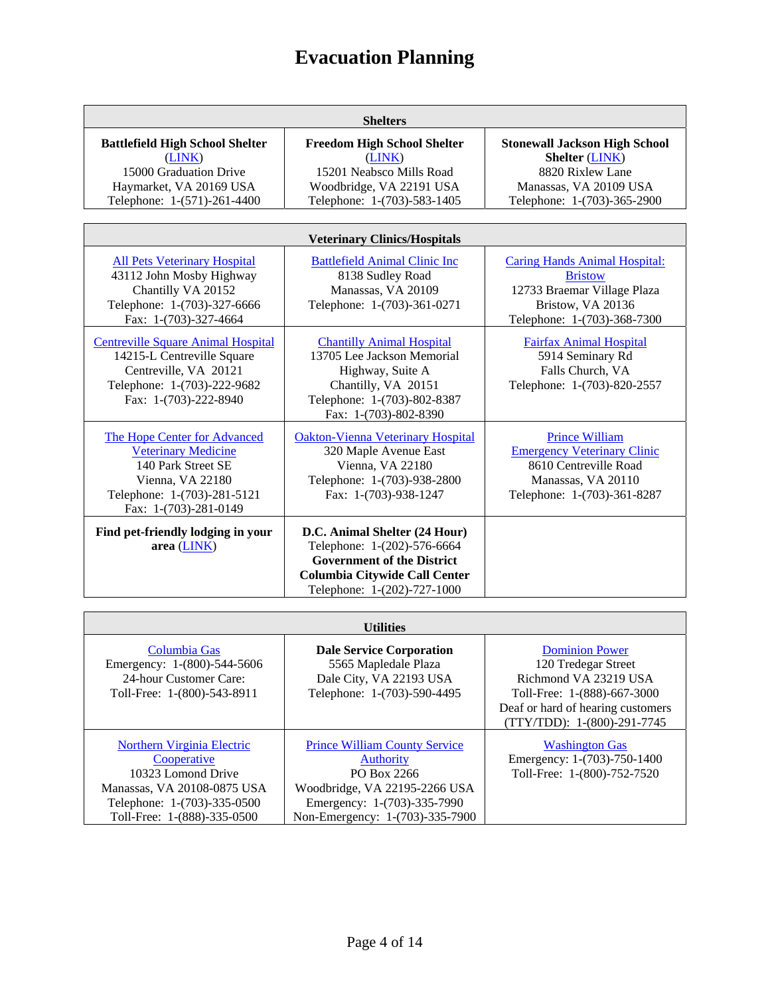| <b>Shelters</b>                                                                                                                                              |                                                                                                                                                                          |                                                                                                                                            |
|--------------------------------------------------------------------------------------------------------------------------------------------------------------|--------------------------------------------------------------------------------------------------------------------------------------------------------------------------|--------------------------------------------------------------------------------------------------------------------------------------------|
| <b>Battlefield High School Shelter</b><br>(LINK)<br>15000 Graduation Drive<br>Haymarket, VA 20169 USA<br>Telephone: 1-(571)-261-4400                         | <b>Freedom High School Shelter</b><br>(LINK)<br>15201 Neabsco Mills Road<br>Woodbridge, VA 22191 USA<br>Telephone: 1-(703)-583-1405                                      | <b>Stonewall Jackson High School</b><br><b>Shelter (LINK)</b><br>8820 Rixlew Lane<br>Manassas, VA 20109 USA<br>Telephone: 1-(703)-365-2900 |
|                                                                                                                                                              | <b>Veterinary Clinics/Hospitals</b>                                                                                                                                      |                                                                                                                                            |
| <b>All Pets Veterinary Hospital</b><br>43112 John Mosby Highway<br>Chantilly VA 20152<br>Telephone: 1-(703)-327-6666<br>Fax: 1-(703)-327-4664                | <b>Battlefield Animal Clinic Inc.</b><br>8138 Sudley Road<br>Manassas, VA 20109<br>Telephone: 1-(703)-361-0271                                                           | Caring Hands Animal Hospital:<br><b>Bristow</b><br>12733 Braemar Village Plaza<br>Bristow, VA 20136<br>Telephone: 1-(703)-368-7300         |
| <b>Centreville Square Animal Hospital</b><br>14215-L Centreville Square<br>Centreville, VA 20121<br>Telephone: 1-(703)-222-9682<br>Fax: 1-(703)-222-8940     | <b>Chantilly Animal Hospital</b><br>13705 Lee Jackson Memorial<br>Highway, Suite A<br>Chantilly, VA 20151<br>Telephone: 1-(703)-802-8387<br>Fax: 1-(703)-802-8390        | <b>Fairfax Animal Hospital</b><br>5914 Seminary Rd<br>Falls Church, VA<br>Telephone: 1-(703)-820-2557                                      |
| The Hope Center for Advanced<br><b>Veterinary Medicine</b><br>140 Park Street SE<br>Vienna, VA 22180<br>Telephone: 1-(703)-281-5121<br>Fax: 1-(703)-281-0149 | <b>Oakton-Vienna Veterinary Hospital</b><br>320 Maple Avenue East<br>Vienna, VA 22180<br>Telephone: 1-(703)-938-2800<br>Fax: 1-(703)-938-1247                            | <b>Prince William</b><br><b>Emergency Veterinary Clinic</b><br>8610 Centreville Road<br>Manassas, VA 20110<br>Telephone: 1-(703)-361-8287  |
| Find pet-friendly lodging in your<br>area (LINK)                                                                                                             | D.C. Animal Shelter (24 Hour)<br>Telephone: 1-(202)-576-6664<br><b>Government of the District</b><br><b>Columbia Citywide Call Center</b><br>Telephone: 1-(202)-727-1000 |                                                                                                                                            |

| <u>Canal</u>                                                                                                                                                        |                                                                                                                                                                            |                                                                                                                                                                          |
|---------------------------------------------------------------------------------------------------------------------------------------------------------------------|----------------------------------------------------------------------------------------------------------------------------------------------------------------------------|--------------------------------------------------------------------------------------------------------------------------------------------------------------------------|
| Columbia Gas<br>Emergency: 1-(800)-544-5606<br>24-hour Customer Care:<br>Toll-Free: 1-(800)-543-8911                                                                | <b>Dale Service Corporation</b><br>5565 Mapledale Plaza<br>Dale City, VA 22193 USA<br>Telephone: 1-(703)-590-4495                                                          | <b>Dominion Power</b><br>120 Tredegar Street<br>Richmond VA 23219 USA<br>Toll-Free: 1-(888)-667-3000<br>Deaf or hard of hearing customers<br>(TTY/TDD): 1-(800)-291-7745 |
| <b>Northern Virginia Electric</b><br>Cooperative<br>10323 Lomond Drive<br>Manassas, VA 20108-0875 USA<br>Telephone: 1-(703)-335-0500<br>Toll-Free: 1-(888)-335-0500 | <b>Prince William County Service</b><br><b>Authority</b><br>PO Box 2266<br>Woodbridge, VA 22195-2266 USA<br>Emergency: 1-(703)-335-7990<br>Non-Emergency: 1-(703)-335-7900 | <b>Washington Gas</b><br>Emergency: 1-(703)-750-1400<br>Toll-Free: 1-(800)-752-7520                                                                                      |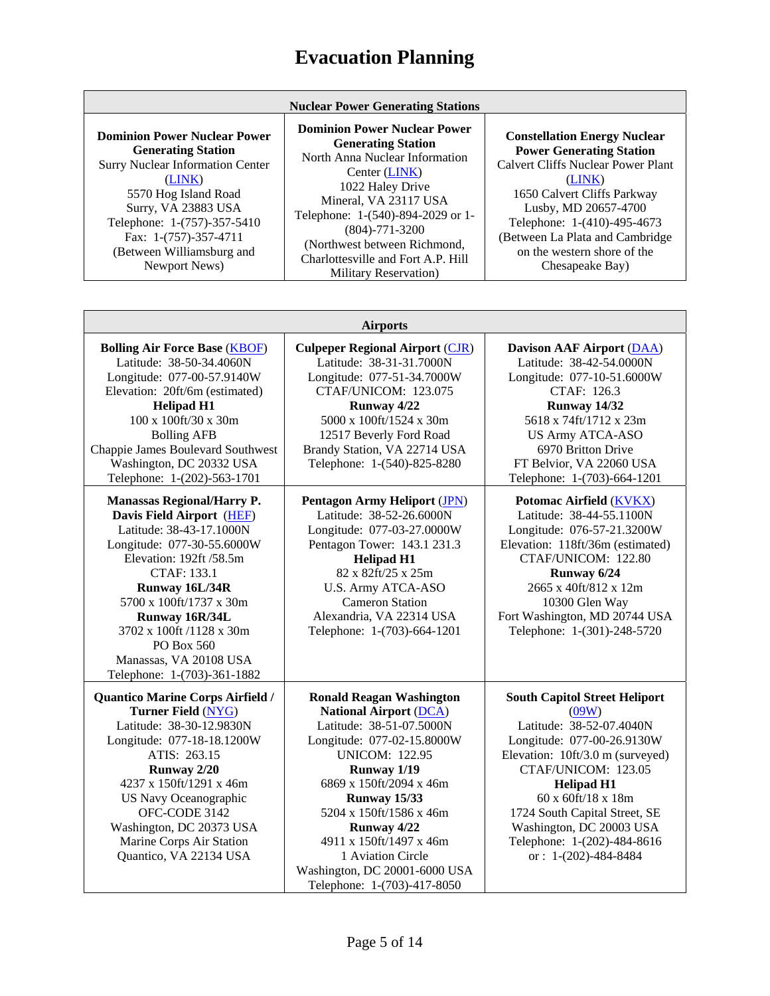| <b>Nuclear Power Generating Stations</b>                                                                                                                                                                                                                                   |                                                                                                                                                                                                                                                                                                                              |                                                                                                                                                                                                                                                                                                          |
|----------------------------------------------------------------------------------------------------------------------------------------------------------------------------------------------------------------------------------------------------------------------------|------------------------------------------------------------------------------------------------------------------------------------------------------------------------------------------------------------------------------------------------------------------------------------------------------------------------------|----------------------------------------------------------------------------------------------------------------------------------------------------------------------------------------------------------------------------------------------------------------------------------------------------------|
| <b>Dominion Power Nuclear Power</b><br><b>Generating Station</b><br><b>Surry Nuclear Information Center</b><br>(LINK)<br>5570 Hog Island Road<br>Surry, VA 23883 USA<br>Telephone: 1-(757)-357-5410<br>Fax: 1-(757)-357-4711<br>(Between Williamsburg and<br>Newport News) | <b>Dominion Power Nuclear Power</b><br><b>Generating Station</b><br>North Anna Nuclear Information<br>Center (LINK)<br>1022 Haley Drive<br>Mineral, VA 23117 USA<br>Telephone: 1-(540)-894-2029 or 1-<br>$(804) - 771 - 3200$<br>(Northwest between Richmond,<br>Charlottesville and Fort A.P. Hill<br>Military Recorvation) | <b>Constellation Energy Nuclear</b><br><b>Power Generating Station</b><br><b>Calvert Cliffs Nuclear Power Plant</b><br>(LINK)<br>1650 Calvert Cliffs Parkway<br>Lusby, MD 20657-4700<br>Telephone: 1-(410)-495-4673<br>(Between La Plata and Cambridge<br>on the western shore of the<br>Chesapeake Bay) |

Military Reservation)

| <b>Airports</b>                                                                                                                                                                                                                                                                                                                             |                                                                                                                                                                                                                                                                                                                                                                                |                                                                                                                                                                                                                                                                                                                                     |
|---------------------------------------------------------------------------------------------------------------------------------------------------------------------------------------------------------------------------------------------------------------------------------------------------------------------------------------------|--------------------------------------------------------------------------------------------------------------------------------------------------------------------------------------------------------------------------------------------------------------------------------------------------------------------------------------------------------------------------------|-------------------------------------------------------------------------------------------------------------------------------------------------------------------------------------------------------------------------------------------------------------------------------------------------------------------------------------|
| <b>Bolling Air Force Base (KBOF)</b><br>Latitude: 38-50-34.4060N<br>Longitude: 077-00-57.9140W<br>Elevation: 20ft/6m (estimated)<br><b>Helipad H1</b><br>100 x 100ft/30 x 30m<br><b>Bolling AFB</b><br>Chappie James Boulevard Southwest<br>Washington, DC 20332 USA<br>Telephone: 1-(202)-563-1701                                         | <b>Culpeper Regional Airport (CJR)</b><br>Latitude: 38-31-31.7000N<br>Longitude: 077-51-34.7000W<br>CTAF/UNICOM: 123.075<br>Runway 4/22<br>5000 x 100ft/1524 x 30m<br>12517 Beverly Ford Road<br>Brandy Station, VA 22714 USA<br>Telephone: 1-(540)-825-8280                                                                                                                   | <b>Davison AAF Airport (DAA)</b><br>Latitude: 38-42-54.0000N<br>Longitude: 077-10-51.6000W<br>CTAF: 126.3<br>Runway 14/32<br>5618 x 74ft/1712 x 23m<br><b>US Army ATCA-ASO</b><br>6970 Britton Drive<br>FT Belvior, VA 22060 USA<br>Telephone: 1-(703)-664-1201                                                                     |
| <b>Manassas Regional/Harry P.</b><br>Davis Field Airport (HEF)<br>Latitude: 38-43-17.1000N<br>Longitude: 077-30-55.6000W<br>Elevation: 192ft /58.5m<br><b>CTAF: 133.1</b><br>Runway 16L/34R<br>5700 x 100ft/1737 x 30m<br>Runway 16R/34L<br>3702 x 100ft /1128 x 30m<br>PO Box 560<br>Manassas, VA 20108 USA<br>Telephone: 1-(703)-361-1882 | <b>Pentagon Army Heliport (JPN)</b><br>Latitude: 38-52-26.6000N<br>Longitude: 077-03-27.0000W<br>Pentagon Tower: 143.1 231.3<br><b>Helipad H1</b><br>82 x 82ft/25 x 25m<br><b>U.S. Army ATCA-ASO</b><br><b>Cameron Station</b><br>Alexandria, VA 22314 USA<br>Telephone: 1-(703)-664-1201                                                                                      | Potomac Airfield (KVKX)<br>Latitude: 38-44-55.1100N<br>Longitude: 076-57-21.3200W<br>Elevation: 118ft/36m (estimated)<br>CTAF/UNICOM: 122.80<br>Runway 6/24<br>2665 x 40ft/812 x 12m<br>10300 Glen Way<br>Fort Washington, MD 20744 USA<br>Telephone: 1-(301)-248-5720                                                              |
| Quantico Marine Corps Airfield /<br><b>Turner Field (NYG)</b><br>Latitude: 38-30-12.9830N<br>Longitude: 077-18-18.1200W<br>ATIS: 263.15<br>Runway 2/20<br>4237 x 150ft/1291 x 46m<br>US Navy Oceanographic<br>OFC-CODE 3142<br>Washington, DC 20373 USA<br>Marine Corps Air Station<br>Quantico, VA 22134 USA                               | <b>Ronald Reagan Washington</b><br><b>National Airport (DCA)</b><br>Latitude: 38-51-07.5000N<br>Longitude: 077-02-15.8000W<br><b>UNICOM: 122.95</b><br>Runway 1/19<br>6869 x 150ft/2094 x 46m<br><b>Runway 15/33</b><br>5204 x 150ft/1586 x 46m<br>Runway 4/22<br>4911 x 150ft/1497 x 46m<br>1 Aviation Circle<br>Washington, DC 20001-6000 USA<br>Telephone: 1-(703)-417-8050 | <b>South Capitol Street Heliport</b><br>(09W)<br>Latitude: 38-52-07.4040N<br>Longitude: 077-00-26.9130W<br>Elevation: 10ft/3.0 m (surveyed)<br>CTAF/UNICOM: 123.05<br><b>Helipad H1</b><br>60 x 60ft/18 x 18m<br>1724 South Capital Street, SE<br>Washington, DC 20003 USA<br>Telephone: 1-(202)-484-8616<br>or: $1-(202)-484-8484$ |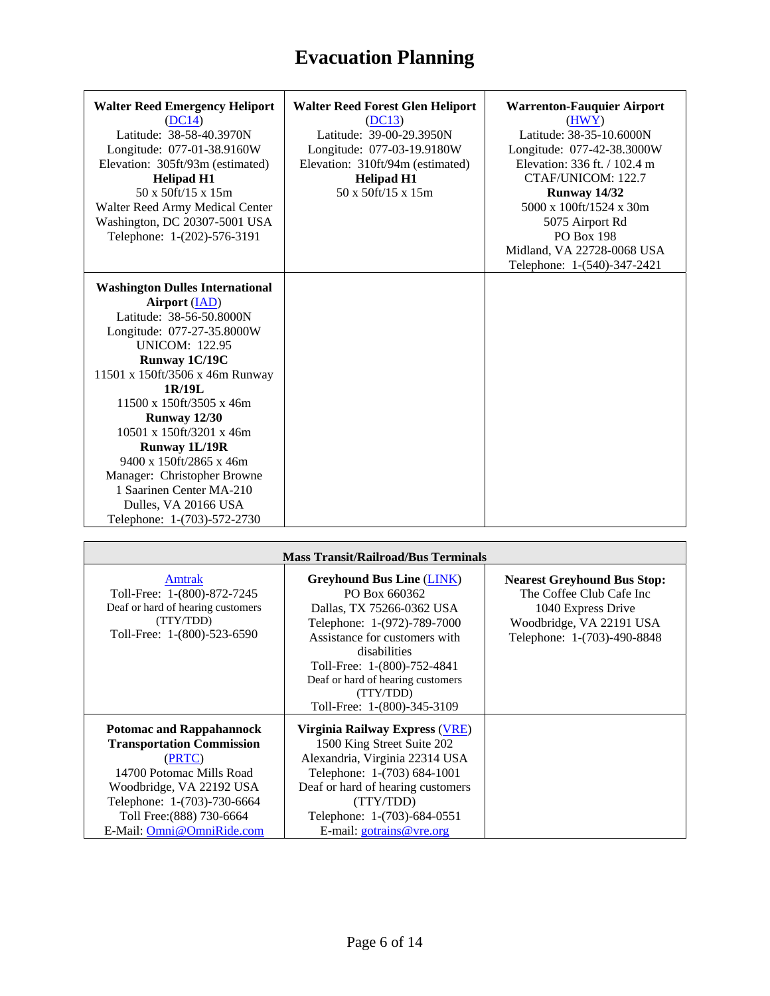| <b>Walter Reed Emergency Heliport</b><br>(DC14)<br>Latitude: 38-58-40.3970N<br>Longitude: 077-01-38.9160W<br>Elevation: 305ft/93m (estimated)<br><b>Helipad H1</b><br>50 x 50ft/15 x 15m<br>Walter Reed Army Medical Center<br>Washington, DC 20307-5001 USA<br>Telephone: 1-(202)-576-3191                                                                                                                                                                                  | <b>Walter Reed Forest Glen Heliport</b><br>(DC13)<br>Latitude: 39-00-29.3950N<br>Longitude: 077-03-19.9180W<br>Elevation: 310ft/94m (estimated)<br><b>Helipad H1</b><br>50 x 50ft/15 x 15m | <b>Warrenton-Fauquier Airport</b><br>(HWY)<br>Latitude: 38-35-10.6000N<br>Longitude: 077-42-38.3000W<br>Elevation: 336 ft. / 102.4 m<br>CTAF/UNICOM: 122.7<br>Runway 14/32<br>5000 x 100ft/1524 x 30m<br>5075 Airport Rd<br><b>PO Box 198</b><br>Midland, VA 22728-0068 USA<br>Telephone: 1-(540)-347-2421 |
|------------------------------------------------------------------------------------------------------------------------------------------------------------------------------------------------------------------------------------------------------------------------------------------------------------------------------------------------------------------------------------------------------------------------------------------------------------------------------|--------------------------------------------------------------------------------------------------------------------------------------------------------------------------------------------|------------------------------------------------------------------------------------------------------------------------------------------------------------------------------------------------------------------------------------------------------------------------------------------------------------|
| <b>Washington Dulles International</b><br>Airport (IAD)<br>Latitude: 38-56-50.8000N<br>Longitude: 077-27-35.8000W<br><b>UNICOM: 122.95</b><br>Runway 1C/19C<br>11501 x 150ft/3506 x 46m Runway<br>1R/19L<br>$11500 \times 150$ ft/3505 x 46m<br><b>Runway 12/30</b><br>10501 x 150ft/3201 x 46m<br><b>Runway 1L/19R</b><br>$9400 \times 150$ ft/2865 x 46m<br>Manager: Christopher Browne<br>1 Saarinen Center MA-210<br>Dulles, VA 20166 USA<br>Telephone: 1-(703)-572-2730 |                                                                                                                                                                                            |                                                                                                                                                                                                                                                                                                            |

| <b>Mass Transit/Railroad/Bus Terminals</b>                                                                                                                                                                                     |                                                                                                                                                                                                                                                                                |                                                                                                                                                 |  |  |  |
|--------------------------------------------------------------------------------------------------------------------------------------------------------------------------------------------------------------------------------|--------------------------------------------------------------------------------------------------------------------------------------------------------------------------------------------------------------------------------------------------------------------------------|-------------------------------------------------------------------------------------------------------------------------------------------------|--|--|--|
| Amtrak<br>Toll-Free: 1-(800)-872-7245<br>Deaf or hard of hearing customers<br>(TTY/TDD)<br>Toll-Free: 1-(800)-523-6590                                                                                                         | <b>Greyhound Bus Line (LINK)</b><br>PO Box 660362<br>Dallas, TX 75266-0362 USA<br>Telephone: 1-(972)-789-7000<br>Assistance for customers with<br>disabilities<br>Toll-Free: 1-(800)-752-4841<br>Deaf or hard of hearing customers<br>(TTY/TDD)<br>Toll-Free: 1-(800)-345-3109 | <b>Nearest Greyhound Bus Stop:</b><br>The Coffee Club Cafe Inc<br>1040 Express Drive<br>Woodbridge, VA 22191 USA<br>Telephone: 1-(703)-490-8848 |  |  |  |
| <b>Potomac and Rappahannock</b><br><b>Transportation Commission</b><br>(PRTC)<br>14700 Potomac Mills Road<br>Woodbridge, VA 22192 USA<br>Telephone: 1-(703)-730-6664<br>Toll Free: (888) 730-6664<br>E-Mail: Omni@OmniRide.com | Virginia Railway Express (VRE)<br>1500 King Street Suite 202<br>Alexandria, Virginia 22314 USA<br>Telephone: 1-(703) 684-1001<br>Deaf or hard of hearing customers<br>(TTY/TDD)<br>Telephone: 1-(703)-684-0551<br>E-mail: $gotrains@vre.org$                                   |                                                                                                                                                 |  |  |  |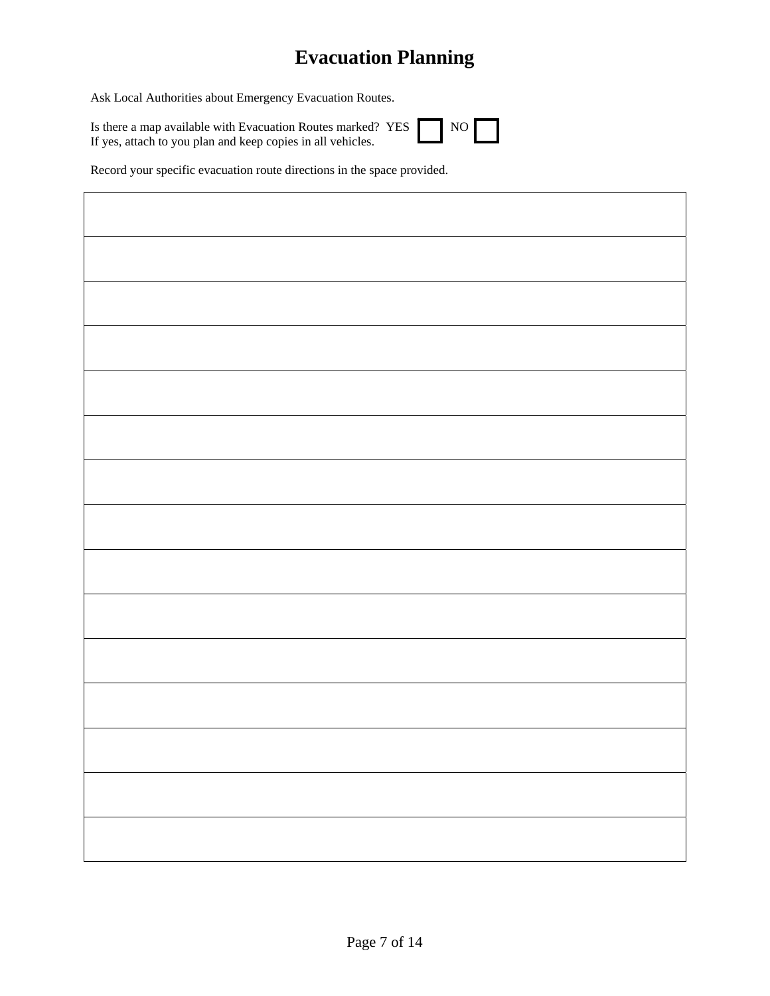Ask Local Authorities about Emergency Evacuation Routes.

Is there a map available with Evacuation Routes marked? YES If yes, attach to you plan and keep copies in all vehicles.

|--|--|

Record your specific evacuation route directions in the space provided.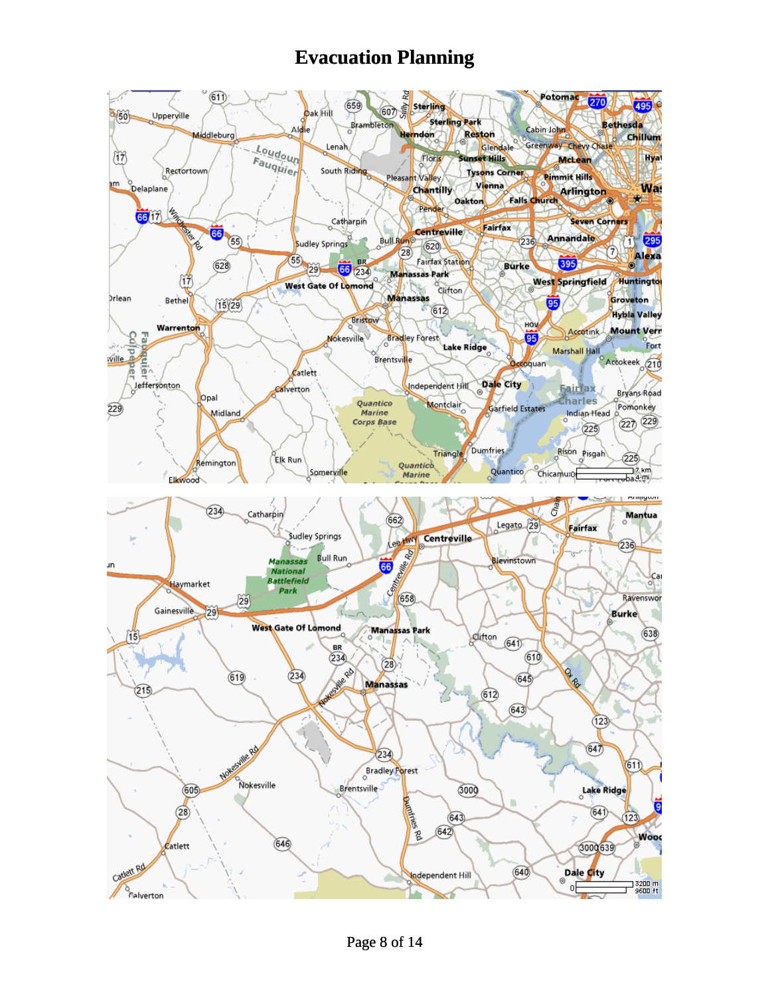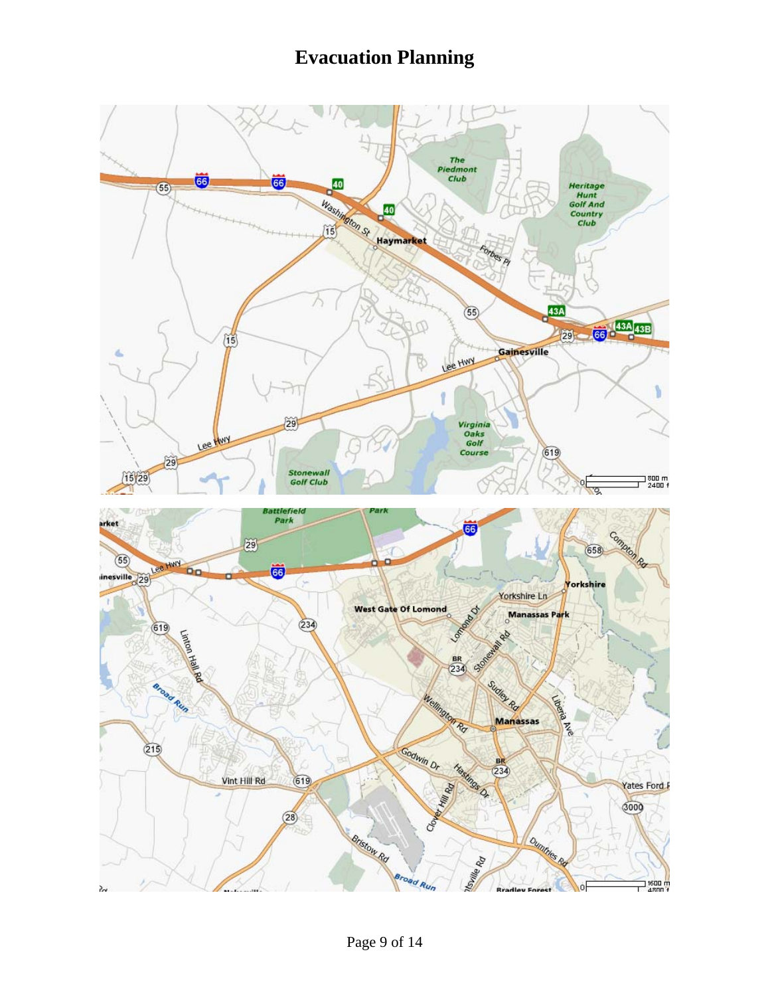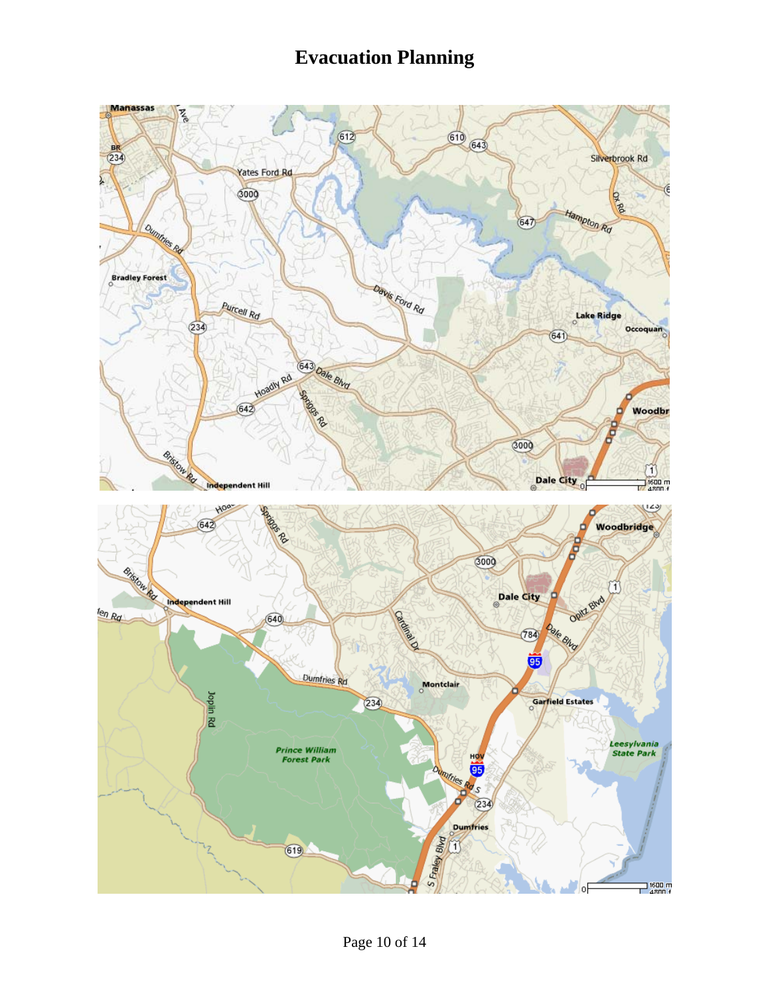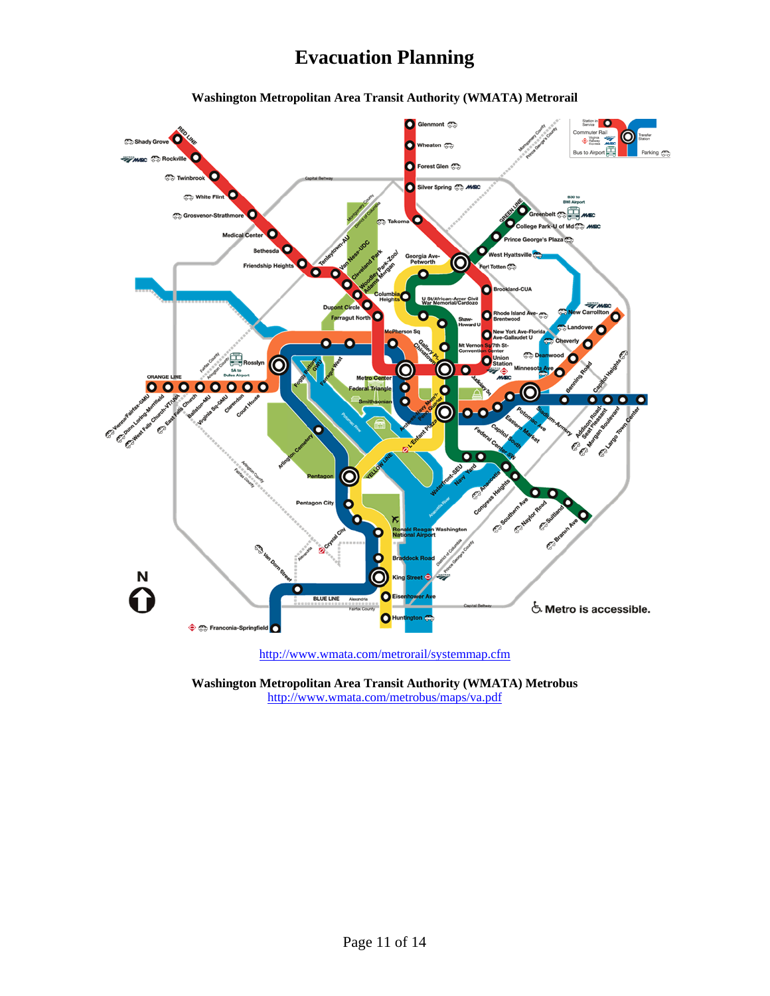

**Washington Metropolitan Area Transit Authority (WMATA) Metrorail** 

**Washington Metropolitan Area Transit Authority (WMATA) Metrobus**  <http://www.wmata.com/metrobus/maps/va.pdf>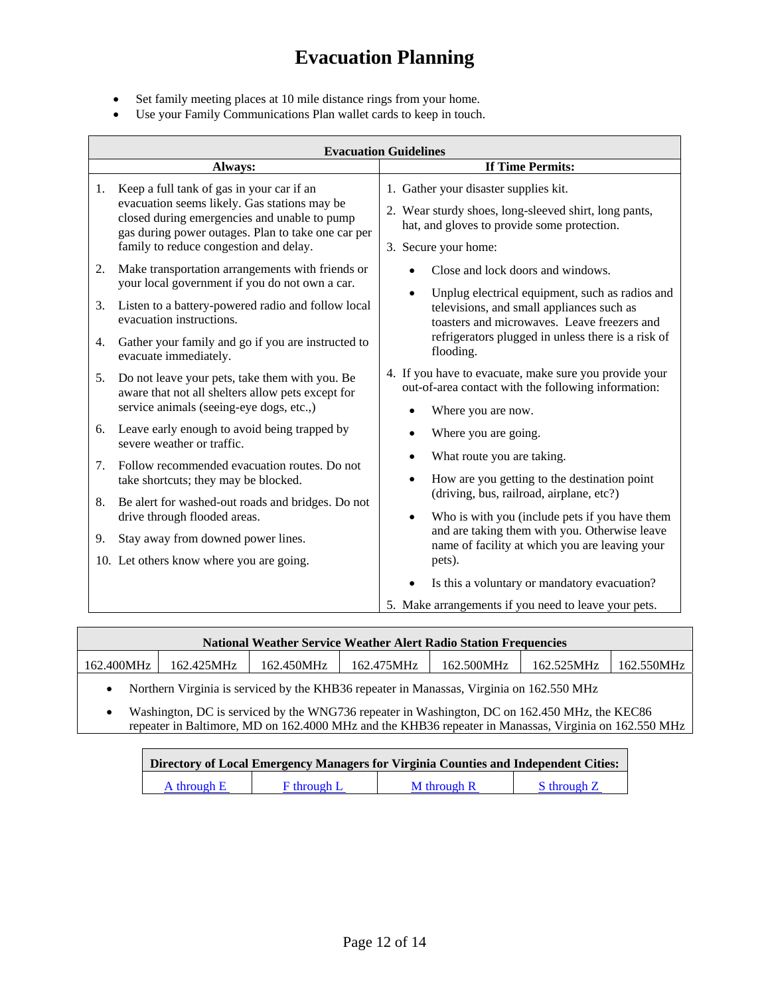- Set family meeting places at 10 mile distance rings from your home.
- Use your Family Communications Plan wallet cards to keep in touch.

|                                        | <b>Evacuation Guidelines</b>                                                                                                                                                                                                                                                                                                                                                                                                                                                                                                                                                                                                                                                      |                                                                                                                                                                                                                                                                                                                                                                                                                                                                                                                                                                                                                                                 |  |  |  |
|----------------------------------------|-----------------------------------------------------------------------------------------------------------------------------------------------------------------------------------------------------------------------------------------------------------------------------------------------------------------------------------------------------------------------------------------------------------------------------------------------------------------------------------------------------------------------------------------------------------------------------------------------------------------------------------------------------------------------------------|-------------------------------------------------------------------------------------------------------------------------------------------------------------------------------------------------------------------------------------------------------------------------------------------------------------------------------------------------------------------------------------------------------------------------------------------------------------------------------------------------------------------------------------------------------------------------------------------------------------------------------------------------|--|--|--|
|                                        | Always:                                                                                                                                                                                                                                                                                                                                                                                                                                                                                                                                                                                                                                                                           | <b>If Time Permits:</b>                                                                                                                                                                                                                                                                                                                                                                                                                                                                                                                                                                                                                         |  |  |  |
| 1.                                     | Keep a full tank of gas in your car if an<br>evacuation seems likely. Gas stations may be<br>closed during emergencies and unable to pump<br>gas during power outages. Plan to take one car per<br>family to reduce congestion and delay.                                                                                                                                                                                                                                                                                                                                                                                                                                         | 1. Gather your disaster supplies kit.<br>2. Wear sturdy shoes, long-sleeved shirt, long pants,<br>hat, and gloves to provide some protection.<br>3. Secure your home:                                                                                                                                                                                                                                                                                                                                                                                                                                                                           |  |  |  |
| 2.<br>3.<br>4.<br>5.<br>6.<br>7.<br>8. | Make transportation arrangements with friends or<br>your local government if you do not own a car.<br>Listen to a battery-powered radio and follow local<br>evacuation instructions.<br>Gather your family and go if you are instructed to<br>evacuate immediately.<br>Do not leave your pets, take them with you. Be<br>aware that not all shelters allow pets except for<br>service animals (seeing-eye dogs, etc.,)<br>Leave early enough to avoid being trapped by<br>severe weather or traffic.<br>Follow recommended evacuation routes. Do not<br>take shortcuts; they may be blocked.<br>Be alert for washed-out roads and bridges. Do not<br>drive through flooded areas. | Close and lock doors and windows.<br>Unplug electrical equipment, such as radios and<br>televisions, and small appliances such as<br>toasters and microwaves. Leave freezers and<br>refrigerators plugged in unless there is a risk of<br>flooding.<br>4. If you have to evacuate, make sure you provide your<br>out-of-area contact with the following information:<br>Where you are now.<br>Where you are going.<br>What route you are taking.<br>How are you getting to the destination point<br>(driving, bus, railroad, airplane, etc?)<br>Who is with you (include pets if you have them<br>and are taking them with you. Otherwise leave |  |  |  |
| 9.                                     | Stay away from downed power lines.<br>10. Let others know where you are going.                                                                                                                                                                                                                                                                                                                                                                                                                                                                                                                                                                                                    | name of facility at which you are leaving your<br>pets).<br>Is this a voluntary or mandatory evacuation?                                                                                                                                                                                                                                                                                                                                                                                                                                                                                                                                        |  |  |  |
|                                        |                                                                                                                                                                                                                                                                                                                                                                                                                                                                                                                                                                                                                                                                                   | 5. Make arrangements if you need to leave your pets.                                                                                                                                                                                                                                                                                                                                                                                                                                                                                                                                                                                            |  |  |  |

| <b>National Weather Service Weather Alert Radio Station Frequencies</b> |            |            |            |            |            |            |
|-------------------------------------------------------------------------|------------|------------|------------|------------|------------|------------|
| 162.400MHz                                                              | 162.425MHz | 162.450MHz | 162.475MHz | 162.500MHz | 162.525MHz | 162.550MHz |

• Northern Virginia is serviced by the KHB36 repeater in Manassas, Virginia on 162.550 MHz

• Washington, DC is serviced by the WNG736 repeater in Washington, DC on 162.450 MHz, the KEC86 repeater in Baltimore, MD on 162.4000 MHz and the KHB36 repeater in Manassas, Virginia on 162.550 MHz

| Directory of Local Emergency Managers for Virginia Counties and Independent Cities: |                    |             |             |  |  |  |
|-------------------------------------------------------------------------------------|--------------------|-------------|-------------|--|--|--|
| A through E                                                                         | <b>F</b> through L | M through R | S through Z |  |  |  |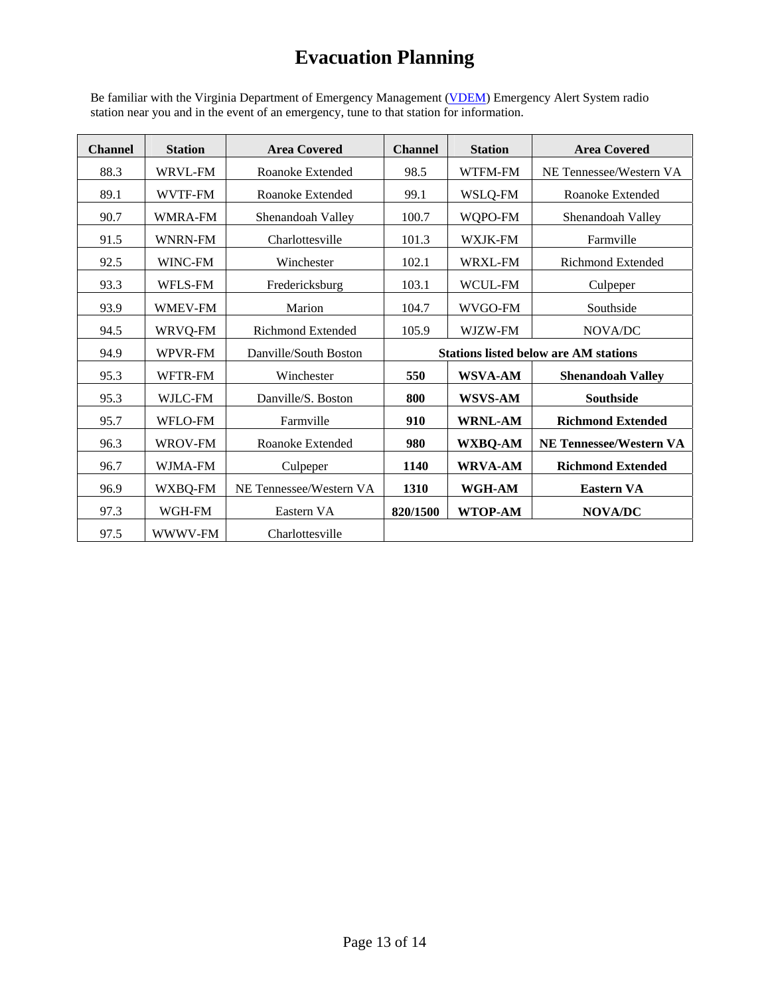Be familiar with the Virginia Department of Emergency Management [\(VDEM\)](http://www.vaemergency.com/prepare/eas/index.cfm) Emergency Alert System radio station near you and in the event of an emergency, tune to that station for information.

| <b>Channel</b> | <b>Station</b> | <b>Area Covered</b>      | <b>Channel</b>                               | <b>Station</b> | <b>Area Covered</b>            |
|----------------|----------------|--------------------------|----------------------------------------------|----------------|--------------------------------|
| 88.3           | WRVL-FM        | Roanoke Extended         | 98.5<br>WTFM-FM                              |                | NE Tennessee/Western VA        |
| 89.1           | <b>WVTF-FM</b> | Roanoke Extended         | 99.1                                         | WSLQ-FM        | Roanoke Extended               |
| 90.7           | <b>WMRA-FM</b> | Shenandoah Valley        | 100.7                                        | WQPO-FM        | Shenandoah Valley              |
| 91.5           | <b>WNRN-FM</b> | Charlottesville          | 101.3                                        | WXJK-FM        | Farmville                      |
| 92.5           | WINC-FM        | Winchester               | 102.1                                        | <b>WRXL-FM</b> | <b>Richmond Extended</b>       |
| 93.3           | <b>WFLS-FM</b> | Fredericksburg           | 103.1                                        | <b>WCUL-FM</b> | Culpeper                       |
| 93.9           | <b>WMEV-FM</b> | Marion                   | 104.7                                        | WVGO-FM        | Southside                      |
| 94.5           | WRVQ-FM        | <b>Richmond Extended</b> | 105.9<br>WJZW-FM                             |                | NOVA/DC                        |
| 94.9           | WPVR-FM        | Danville/South Boston    | <b>Stations listed below are AM stations</b> |                |                                |
| 95.3           | WFTR-FM        | Winchester               | 550                                          | <b>WSVA-AM</b> | <b>Shenandoah Valley</b>       |
| 95.3           | WJLC-FM        | Danville/S. Boston       | 800                                          | <b>WSVS-AM</b> | <b>Southside</b>               |
| 95.7           | WFLO-FM        | Farmville                | 910                                          | <b>WRNL-AM</b> | <b>Richmond Extended</b>       |
| 96.3           | WROV-FM        | Roanoke Extended         | 980                                          | <b>WXBQ-AM</b> | <b>NE Tennessee/Western VA</b> |
| 96.7           | <b>WJMA-FM</b> | Culpeper                 | 1140                                         | <b>WRVA-AM</b> | <b>Richmond Extended</b>       |
| 96.9           | WXBQ-FM        | NE Tennessee/Western VA  | 1310                                         | WGH-AM         | <b>Eastern VA</b>              |
| 97.3           | WGH-FM         | Eastern VA               | 820/1500                                     | <b>WTOP-AM</b> | <b>NOVA/DC</b>                 |
| 97.5           | WWWV-FM        | Charlottesville          |                                              |                |                                |